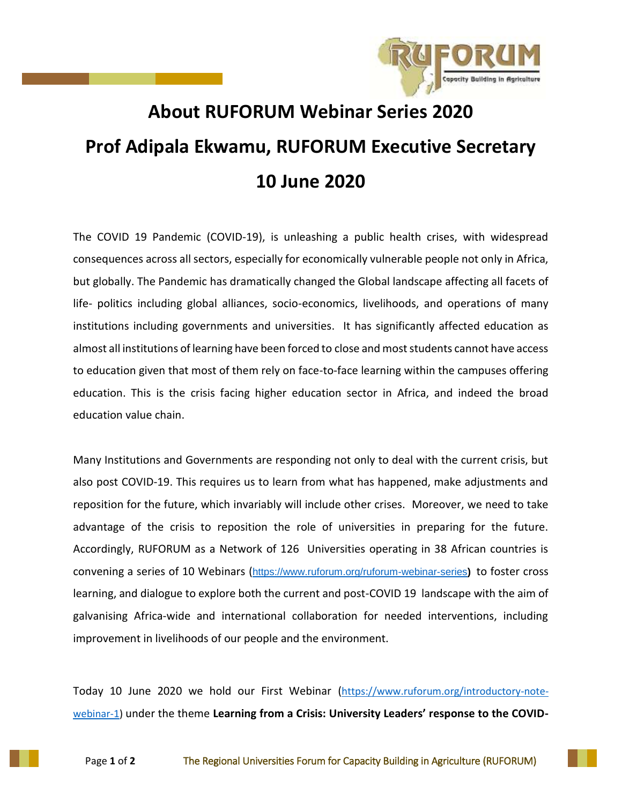

## **About RUFORUM Webinar Series 2020 Prof Adipala Ekwamu, RUFORUM Executive Secretary 10 June 2020**

The COVID 19 Pandemic (COVID-19), is unleashing a public health crises, with widespread consequences across all sectors, especially for economically vulnerable people not only in Africa, but globally. The Pandemic has dramatically changed the Global landscape affecting all facets of life- politics including global alliances, socio-economics, livelihoods, and operations of many institutions including governments and universities. It has significantly affected education as almost all institutions of learning have been forced to close and most students cannot have access to education given that most of them rely on face-to-face learning within the campuses offering education. This is the crisis facing higher education sector in Africa, and indeed the broad education value chain.

Many Institutions and Governments are responding not only to deal with the current crisis, but also post COVID-19. This requires us to learn from what has happened, make adjustments and reposition for the future, which invariably will include other crises. Moreover, we need to take advantage of the crisis to reposition the role of universities in preparing for the future. Accordingly, RUFORUM as a Network of 126 Universities operating in 38 African countries is convening a series of 10 Webinars (<https://www.ruforum.org/ruforum-webinar-series>) to foster cross learning, and dialogue to explore both the current and post-COVID 19 landscape with the aim of galvanising Africa-wide and international collaboration for needed interventions, including improvement in livelihoods of our people and the environment.

Today 10 June 2020 we hold our First Webinar ([https://www.ruforum.org/introductory-note](https://www.ruforum.org/introductory-note-webinar-1)[webinar-1\)](https://www.ruforum.org/introductory-note-webinar-1) under the theme **Learning from a Crisis: University Leaders' response to the COVID-**